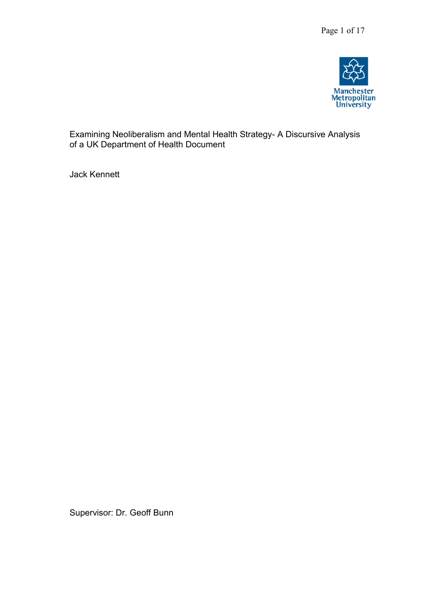

Examining Neoliberalism and Mental Health Strategy- A Discursive Analysis of a UK Department of Health Document

Jack Kennett

Supervisor: Dr. Geoff Bunn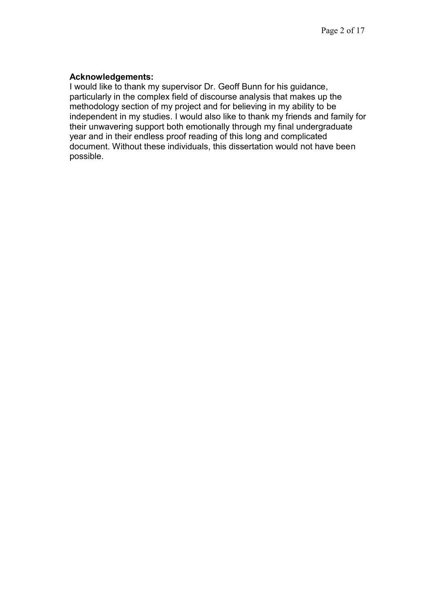### **Acknowledgements:**

I would like to thank my supervisor Dr. Geoff Bunn for his guidance, particularly in the complex field of discourse analysis that makes up the methodology section of my project and for believing in my ability to be independent in my studies. I would also like to thank my friends and family for their unwavering support both emotionally through my final undergraduate year and in their endless proof reading of this long and complicated document. Without these individuals, this dissertation would not have been possible.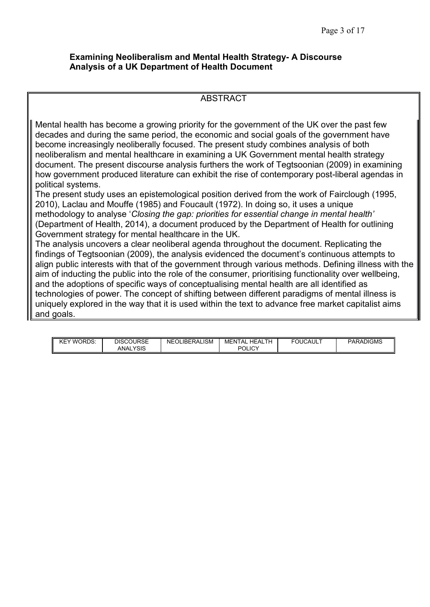#### **Examining Neoliberalism and Mental Health Strategy- A Discourse Analysis of a UK Department of Health Document**

#### ABSTRACT

Mental health has become a growing priority for the government of the UK over the past few decades and during the same period, the economic and social goals of the government have become increasingly neoliberally focused. The present study combines analysis of both neoliberalism and mental healthcare in examining a UK Government mental health strategy document. The present discourse analysis furthers the work of Tegtsoonian (2009) in examining how government produced literature can exhibit the rise of contemporary post-liberal agendas in political systems.

The present study uses an epistemological position derived from the work of Fairclough (1995, 2010), Laclau and Mouffe (1985) and Foucault (1972). In doing so, it uses a unique methodology to analyse '*Closing the gap: priorities for essential change in mental health'*  (Department of Health, 2014), a document produced by the Department of Health for outlining Government strategy for mental healthcare in the UK.

The analysis uncovers a clear neoliberal agenda throughout the document. Replicating the findings of Tegtsoonian (2009), the analysis evidenced the document's continuous attempts to align public interests with that of the government through various methods. Defining illness with the aim of inducting the public into the role of the consumer, prioritising functionality over wellbeing, and the adoptions of specific ways of conceptualising mental health are all identified as technologies of power. The concept of shifting between different paradigms of mental illness is uniquely explored in the way that it is used within the text to advance free market capitalist aims and goals.

| WORDS:<br>↖⊏ | <b>DISCOURSE</b>     | <b>NEOLIBERALISM</b> | MENTAL<br><b>HEALTH</b> | <b>FOUCAULT</b> | <b>PARADIGMS</b> |
|--------------|----------------------|----------------------|-------------------------|-----------------|------------------|
|              | <b>YSIS</b><br>ANAL. |                      | <b>JLICY</b><br>וחם     |                 |                  |
|              |                      |                      |                         |                 |                  |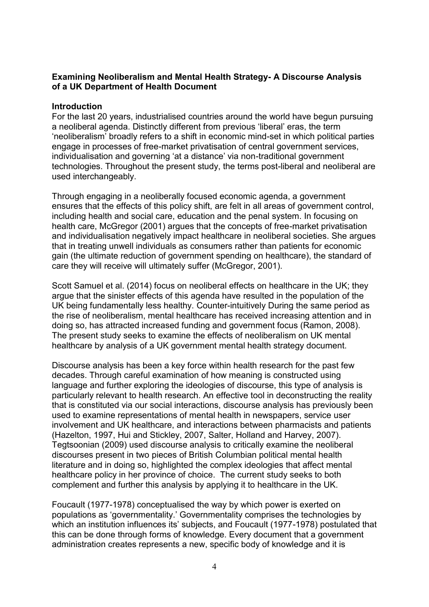## **Examining Neoliberalism and Mental Health Strategy- A Discourse Analysis of a UK Department of Health Document**

## **Introduction**

For the last 20 years, industrialised countries around the world have begun pursuing a neoliberal agenda. Distinctly different from previous 'liberal' eras, the term 'neoliberalism' broadly refers to a shift in economic mind-set in which political parties engage in processes of free-market privatisation of central government services, individualisation and governing 'at a distance' via non-traditional government technologies. Throughout the present study, the terms post-liberal and neoliberal are used interchangeably.

Through engaging in a neoliberally focused economic agenda, a government ensures that the effects of this policy shift, are felt in all areas of government control, including health and social care, education and the penal system. In focusing on health care, McGregor (2001) argues that the concepts of free-market privatisation and individualisation negatively impact healthcare in neoliberal societies. She argues that in treating unwell individuals as consumers rather than patients for economic gain (the ultimate reduction of government spending on healthcare), the standard of care they will receive will ultimately suffer (McGregor, 2001).

Scott Samuel et al. (2014) focus on neoliberal effects on healthcare in the UK; they argue that the sinister effects of this agenda have resulted in the population of the UK being fundamentally less healthy. Counter-intuitively During the same period as the rise of neoliberalism, mental healthcare has received increasing attention and in doing so, has attracted increased funding and government focus (Ramon, 2008). The present study seeks to examine the effects of neoliberalism on UK mental healthcare by analysis of a UK government mental health strategy document.

Discourse analysis has been a key force within health research for the past few decades. Through careful examination of how meaning is constructed using language and further exploring the ideologies of discourse, this type of analysis is particularly relevant to health research. An effective tool in deconstructing the reality that is constituted via our social interactions, discourse analysis has previously been used to examine representations of mental health in newspapers, service user involvement and UK healthcare, and interactions between pharmacists and patients (Hazelton, 1997, Hui and Stickley, 2007, Salter, Holland and Harvey, 2007). Tegtsoonian (2009) used discourse analysis to critically examine the neoliberal discourses present in two pieces of British Columbian political mental health literature and in doing so, highlighted the complex ideologies that affect mental healthcare policy in her province of choice. The current study seeks to both complement and further this analysis by applying it to healthcare in the UK.

Foucault (1977-1978) conceptualised the way by which power is exerted on populations as 'governmentality.' Governmentality comprises the technologies by which an institution influences its' subjects, and Foucault (1977-1978) postulated that this can be done through forms of knowledge. Every document that a government administration creates represents a new, specific body of knowledge and it is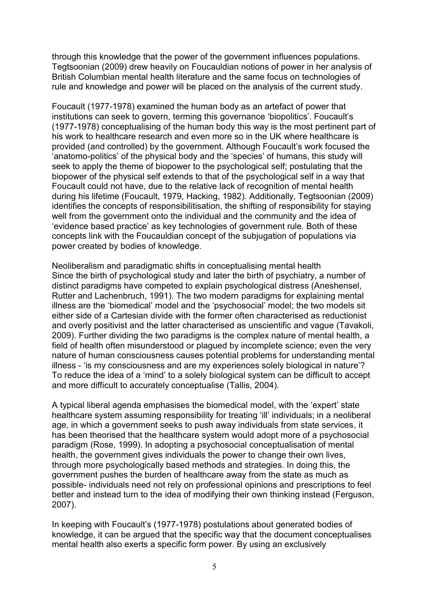through this knowledge that the power of the government influences populations. Tegtsoonian (2009) drew heavily on Foucauldian notions of power in her analysis of British Columbian mental health literature and the same focus on technologies of rule and knowledge and power will be placed on the analysis of the current study.

Foucault (1977-1978) examined the human body as an artefact of power that institutions can seek to govern, terming this governance 'biopolitics'. Foucault's (1977-1978) conceptualising of the human body this way is the most pertinent part of his work to healthcare research and even more so in the UK where healthcare is provided (and controlled) by the government. Although Foucault's work focused the 'anatomo-politics' of the physical body and the 'species' of humans, this study will seek to apply the theme of biopower to the psychological self; postulating that the biopower of the physical self extends to that of the psychological self in a way that Foucault could not have, due to the relative lack of recognition of mental health during his lifetime (Foucault, 1979, Hacking, 1982). Additionally, Tegtsoonian (2009) identifies the concepts of responsibilitisation, the shifting of responsibility for staying well from the government onto the individual and the community and the idea of 'evidence based practice' as key technologies of government rule. Both of these concepts link with the Foucauldian concept of the subjugation of populations via power created by bodies of knowledge.

Neoliberalism and paradigmatic shifts in conceptualising mental health Since the birth of psychological study and later the birth of psychiatry, a number of distinct paradigms have competed to explain psychological distress (Aneshensel, Rutter and Lachenbruch, 1991). The two modern paradigms for explaining mental illness are the 'biomedical' model and the 'psychosocial' model; the two models sit either side of a Cartesian divide with the former often characterised as reductionist and overly positivist and the latter characterised as unscientific and vague (Tavakoli, 2009). Further dividing the two paradigms is the complex nature of mental health, a field of health often misunderstood or plagued by incomplete science; even the very nature of human consciousness causes potential problems for understanding mental illness - 'is my consciousness and are my experiences solely biological in nature'? To reduce the idea of a 'mind' to a solely biological system can be difficult to accept and more difficult to accurately conceptualise (Tallis, 2004).

A typical liberal agenda emphasises the biomedical model, with the 'expert' state healthcare system assuming responsibility for treating 'ill' individuals; in a neoliberal age, in which a government seeks to push away individuals from state services, it has been theorised that the healthcare system would adopt more of a psychosocial paradigm (Rose, 1999). In adopting a psychosocial conceptualisation of mental health, the government gives individuals the power to change their own lives, through more psychologically based methods and strategies. In doing this, the government pushes the burden of healthcare away from the state as much as possible- individuals need not rely on professional opinions and prescriptions to feel better and instead turn to the idea of modifying their own thinking instead (Ferguson, 2007).

In keeping with Foucault's (1977-1978) postulations about generated bodies of knowledge, it can be argued that the specific way that the document conceptualises mental health also exerts a specific form power. By using an exclusively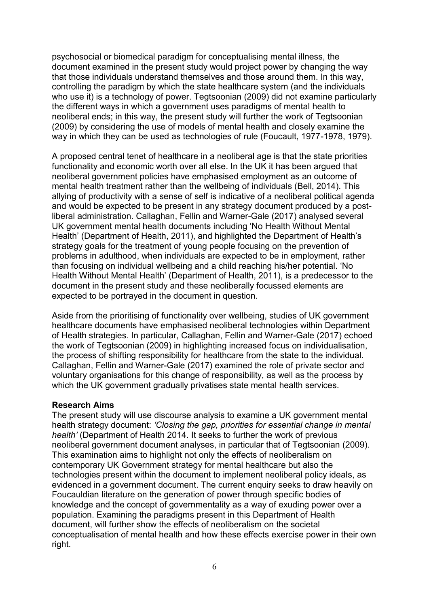psychosocial or biomedical paradigm for conceptualising mental illness, the document examined in the present study would project power by changing the way that those individuals understand themselves and those around them. In this way, controlling the paradigm by which the state healthcare system (and the individuals who use it) is a technology of power. Tegtsoonian (2009) did not examine particularly the different ways in which a government uses paradigms of mental health to neoliberal ends; in this way, the present study will further the work of Tegtsoonian (2009) by considering the use of models of mental health and closely examine the way in which they can be used as technologies of rule (Foucault, 1977-1978, 1979).

A proposed central tenet of healthcare in a neoliberal age is that the state priorities functionality and economic worth over all else. In the UK it has been argued that neoliberal government policies have emphasised employment as an outcome of mental health treatment rather than the wellbeing of individuals (Bell, 2014). This allying of productivity with a sense of self is indicative of a neoliberal political agenda and would be expected to be present in any strategy document produced by a postliberal administration. Callaghan, Fellin and Warner-Gale (2017) analysed several UK government mental health documents including 'No Health Without Mental Health' (Department of Health, 2011), and highlighted the Department of Health's strategy goals for the treatment of young people focusing on the prevention of problems in adulthood, when individuals are expected to be in employment, rather than focusing on individual wellbeing and a child reaching his/her potential. 'No Health Without Mental Health' (Department of Health, 2011), is a predecessor to the document in the present study and these neoliberally focussed elements are expected to be portrayed in the document in question.

Aside from the prioritising of functionality over wellbeing, studies of UK government healthcare documents have emphasised neoliberal technologies within Department of Health strategies. In particular, Callaghan, Fellin and Warner-Gale (2017) echoed the work of Tegtsoonian (2009) in highlighting increased focus on individualisation, the process of shifting responsibility for healthcare from the state to the individual. Callaghan, Fellin and Warner-Gale (2017) examined the role of private sector and voluntary organisations for this change of responsibility, as well as the process by which the UK government gradually privatises state mental health services.

## **Research Aims**

The present study will use discourse analysis to examine a UK government mental health strategy document: *'Closing the gap, priorities for essential change in mental health'* (Department of Health 2014. It seeks to further the work of previous neoliberal government document analyses, in particular that of Tegtsoonian (2009). This examination aims to highlight not only the effects of neoliberalism on contemporary UK Government strategy for mental healthcare but also the technologies present within the document to implement neoliberal policy ideals, as evidenced in a government document. The current enquiry seeks to draw heavily on Foucauldian literature on the generation of power through specific bodies of knowledge and the concept of governmentality as a way of exuding power over a population. Examining the paradigms present in this Department of Health document, will further show the effects of neoliberalism on the societal conceptualisation of mental health and how these effects exercise power in their own right.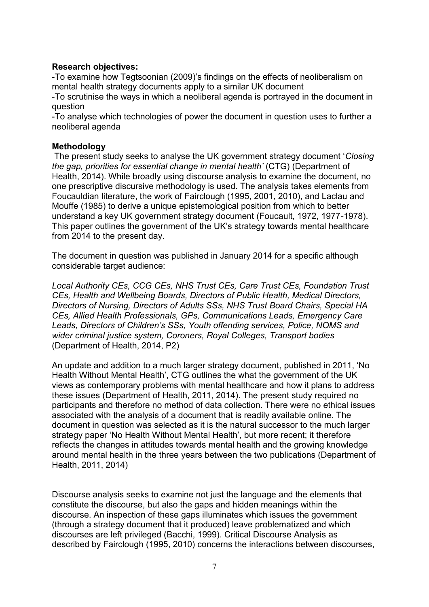# **Research objectives:**

-To examine how Tegtsoonian (2009)'s findings on the effects of neoliberalism on mental health strategy documents apply to a similar UK document

-To scrutinise the ways in which a neoliberal agenda is portrayed in the document in question

-To analyse which technologies of power the document in question uses to further a neoliberal agenda

# **Methodology**

The present study seeks to analyse the UK government strategy document '*Closing the gap, priorities for essential change in mental health'* (CTG) (Department of Health, 2014). While broadly using discourse analysis to examine the document, no one prescriptive discursive methodology is used. The analysis takes elements from Foucauldian literature, the work of Fairclough (1995, 2001, 2010), and Laclau and Mouffe (1985) to derive a unique epistemological position from which to better understand a key UK government strategy document (Foucault, 1972, 1977-1978). This paper outlines the government of the UK's strategy towards mental healthcare from 2014 to the present day.

The document in question was published in January 2014 for a specific although considerable target audience:

*Local Authority CEs, CCG CEs, NHS Trust CEs, Care Trust CEs, Foundation Trust CEs, Health and Wellbeing Boards, Directors of Public Health, Medical Directors, Directors of Nursing, Directors of Adults SSs, NHS Trust Board Chairs, Special HA CEs, Allied Health Professionals, GPs, Communications Leads, Emergency Care Leads, Directors of Children's SSs, Youth offending services, Police, NOMS and wider criminal justice system, Coroners, Royal Colleges, Transport bodies*  (Department of Health, 2014, P2)

An update and addition to a much larger strategy document, published in 2011, 'No Health Without Mental Health', CTG outlines the what the government of the UK views as contemporary problems with mental healthcare and how it plans to address these issues (Department of Health, 2011, 2014). The present study required no participants and therefore no method of data collection. There were no ethical issues associated with the analysis of a document that is readily available online. The document in question was selected as it is the natural successor to the much larger strategy paper 'No Health Without Mental Health', but more recent; it therefore reflects the changes in attitudes towards mental health and the growing knowledge around mental health in the three years between the two publications (Department of Health, 2011, 2014)

Discourse analysis seeks to examine not just the language and the elements that constitute the discourse, but also the gaps and hidden meanings within the discourse. An inspection of these gaps illuminates which issues the government (through a strategy document that it produced) leave problematized and which discourses are left privileged (Bacchi, 1999). Critical Discourse Analysis as described by Fairclough (1995, 2010) concerns the interactions between discourses,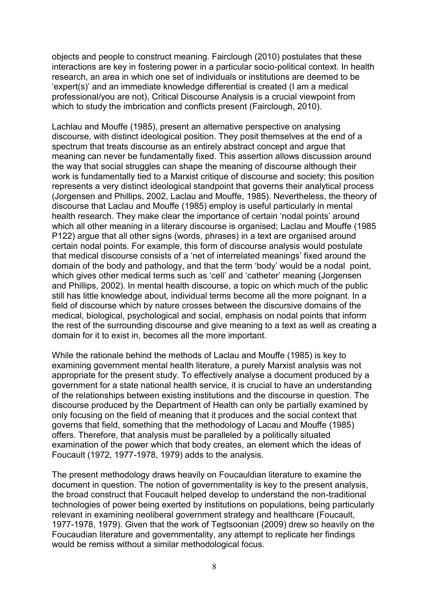objects and people to construct meaning. Fairclough (2010) postulates that these interactions are key in fostering power in a particular socio-political context. In health research, an area in which one set of individuals or institutions are deemed to be 'expert(s)' and an immediate knowledge differential is created (I am a medical professional/you are not), Critical Discourse Analysis is a crucial viewpoint from which to study the imbrication and conflicts present (Fairclough, 2010).

Lachlau and Mouffe (1985), present an alternative perspective on analysing discourse, with distinct ideological position. They posit themselves at the end of a spectrum that treats discourse as an entirely abstract concept and argue that meaning can never be fundamentally fixed. This assertion allows discussion around the way that social struggles can shape the meaning of discourse although their work is fundamentally tied to a Marxist critique of discourse and society; this position represents a very distinct ideological standpoint that governs their analytical process (Jorgensen and Phillips, 2002, Laclau and Mouffe, 1985). Nevertheless, the theory of discourse that Laclau and Mouffe (1985) employ is useful particularly in mental health research. They make clear the importance of certain 'nodal points' around which all other meaning in a literary discourse is organised: Laclau and Mouffe (1985) P122) argue that all other signs (words, phrases) in a text are organised around certain nodal points. For example, this form of discourse analysis would postulate that medical discourse consists of a 'net of interrelated meanings' fixed around the domain of the body and pathology, and that the term 'body' would be a nodal point, which gives other medical terms such as 'cell' and 'catheter' meaning (Jorgensen and Phillips, 2002). In mental health discourse, a topic on which much of the public still has little knowledge about, individual terms become all the more poignant. In a field of discourse which by nature crosses between the discursive domains of the medical, biological, psychological and social, emphasis on nodal points that inform the rest of the surrounding discourse and give meaning to a text as well as creating a domain for it to exist in, becomes all the more important.

While the rationale behind the methods of Laclau and Mouffe (1985) is key to examining government mental health literature, a purely Marxist analysis was not appropriate for the present study. To effectively analyse a document produced by a government for a state national health service, it is crucial to have an understanding of the relationships between existing institutions and the discourse in question. The discourse produced by the Department of Health can only be partially examined by only focusing on the field of meaning that it produces and the social context that governs that field, something that the methodology of Lacau and Mouffe (1985) offers. Therefore, that analysis must be paralleled by a politically situated examination of the power which that body creates, an element which the ideas of Foucault (1972, 1977-1978, 1979) adds to the analysis.

The present methodology draws heavily on Foucauldian literature to examine the document in question. The notion of governmentality is key to the present analysis, the broad construct that Foucault helped develop to understand the non-traditional technologies of power being exerted by institutions on populations, being particularly relevant in examining neoliberal government strategy and healthcare (Foucault, 1977-1978, 1979). Given that the work of Tegtsoonian (2009) drew so heavily on the Foucaudian literature and governmentality, any attempt to replicate her findings would be remiss without a similar methodological focus.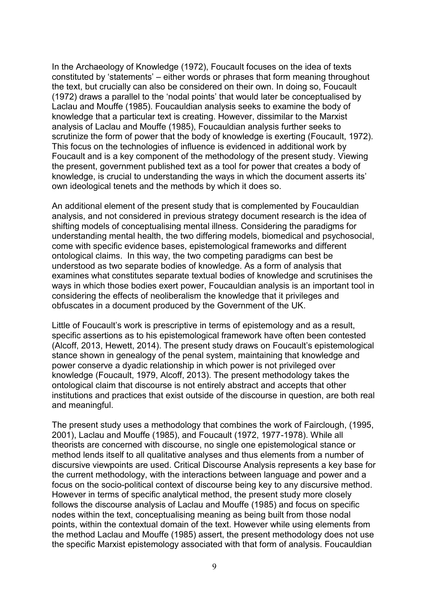In the Archaeology of Knowledge (1972), Foucault focuses on the idea of texts constituted by 'statements' – either words or phrases that form meaning throughout the text, but crucially can also be considered on their own. In doing so, Foucault (1972) draws a parallel to the 'nodal points' that would later be conceptualised by Laclau and Mouffe (1985). Foucauldian analysis seeks to examine the body of knowledge that a particular text is creating. However, dissimilar to the Marxist analysis of Laclau and Mouffe (1985), Foucauldian analysis further seeks to scrutinize the form of power that the body of knowledge is exerting (Foucault, 1972). This focus on the technologies of influence is evidenced in additional work by Foucault and is a key component of the methodology of the present study. Viewing the present, government published text as a tool for power that creates a body of knowledge, is crucial to understanding the ways in which the document asserts its' own ideological tenets and the methods by which it does so.

An additional element of the present study that is complemented by Foucauldian analysis, and not considered in previous strategy document research is the idea of shifting models of conceptualising mental illness. Considering the paradigms for understanding mental health, the two differing models, biomedical and psychosocial, come with specific evidence bases, epistemological frameworks and different ontological claims. In this way, the two competing paradigms can best be understood as two separate bodies of knowledge. As a form of analysis that examines what constitutes separate textual bodies of knowledge and scrutinises the ways in which those bodies exert power, Foucauldian analysis is an important tool in considering the effects of neoliberalism the knowledge that it privileges and obfuscates in a document produced by the Government of the UK.

Little of Foucault's work is prescriptive in terms of epistemology and as a result, specific assertions as to his epistemological framework have often been contested (Alcoff, 2013, Hewett, 2014). The present study draws on Foucault's epistemological stance shown in genealogy of the penal system, maintaining that knowledge and power conserve a dyadic relationship in which power is not privileged over knowledge (Foucault, 1979, Alcoff, 2013). The present methodology takes the ontological claim that discourse is not entirely abstract and accepts that other institutions and practices that exist outside of the discourse in question, are both real and meaningful.

The present study uses a methodology that combines the work of Fairclough, (1995, 2001), Laclau and Mouffe (1985), and Foucault (1972, 1977-1978). While all theorists are concerned with discourse, no single one epistemological stance or method lends itself to all qualitative analyses and thus elements from a number of discursive viewpoints are used. Critical Discourse Analysis represents a key base for the current methodology, with the interactions between language and power and a focus on the socio-political context of discourse being key to any discursive method. However in terms of specific analytical method, the present study more closely follows the discourse analysis of Laclau and Mouffe (1985) and focus on specific nodes within the text, conceptualising meaning as being built from those nodal points, within the contextual domain of the text. However while using elements from the method Laclau and Mouffe (1985) assert, the present methodology does not use the specific Marxist epistemology associated with that form of analysis. Foucauldian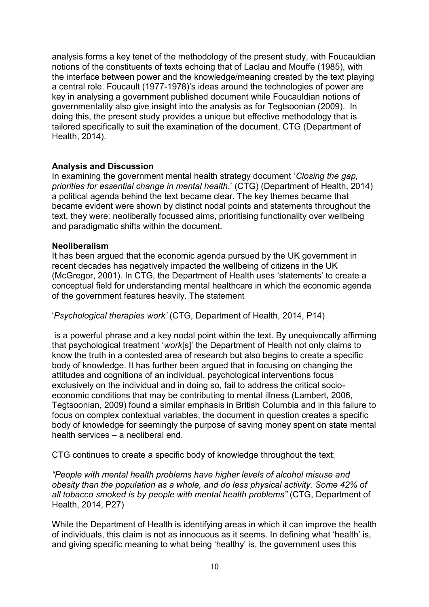analysis forms a key tenet of the methodology of the present study, with Foucauldian notions of the constituents of texts echoing that of Laclau and Mouffe (1985), with the interface between power and the knowledge/meaning created by the text playing a central role. Foucault (1977-1978)'s ideas around the technologies of power are key in analysing a government published document while Foucauldian notions of governmentality also give insight into the analysis as for Tegtsoonian (2009). In doing this, the present study provides a unique but effective methodology that is tailored specifically to suit the examination of the document, CTG (Department of Health, 2014).

## **Analysis and Discussion**

In examining the government mental health strategy document '*Closing the gap, priorities for essential change in mental health*,' (CTG) (Department of Health, 2014) a political agenda behind the text became clear. The key themes became that became evident were shown by distinct nodal points and statements throughout the text, they were: neoliberally focussed aims, prioritising functionality over wellbeing and paradigmatic shifts within the document.

## **Neoliberalism**

It has been argued that the economic agenda pursued by the UK government in recent decades has negatively impacted the wellbeing of citizens in the UK (McGregor, 2001). In CTG, the Department of Health uses 'statements' to create a conceptual field for understanding mental healthcare in which the economic agenda of the government features heavily. The statement

'*Psychological therapies work'* (CTG, Department of Health, 2014, P14)

is a powerful phrase and a key nodal point within the text. By unequivocally affirming that psychological treatment '*work*[s]' the Department of Health not only claims to know the truth in a contested area of research but also begins to create a specific body of knowledge. It has further been argued that in focusing on changing the attitudes and cognitions of an individual, psychological interventions focus exclusively on the individual and in doing so, fail to address the critical socioeconomic conditions that may be contributing to mental illness (Lambert, 2006, Tegtsoonian, 2009) found a similar emphasis in British Columbia and in this failure to focus on complex contextual variables, the document in question creates a specific body of knowledge for seemingly the purpose of saving money spent on state mental health services – a neoliberal end.

CTG continues to create a specific body of knowledge throughout the text;

*"People with mental health problems have higher levels of alcohol misuse and obesity than the population as a whole, and do less physical activity. Some 42% of all tobacco smoked is by people with mental health problems"* (CTG, Department of Health, 2014, P27)

While the Department of Health is identifying areas in which it can improve the health of individuals, this claim is not as innocuous as it seems. In defining what 'health' is, and giving specific meaning to what being 'healthy' is, the government uses this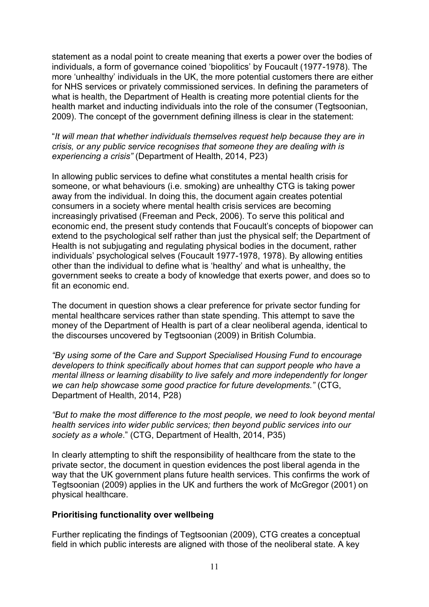statement as a nodal point to create meaning that exerts a power over the bodies of individuals, a form of governance coined 'biopolitics' by Foucault (1977-1978). The more 'unhealthy' individuals in the UK, the more potential customers there are either for NHS services or privately commissioned services. In defining the parameters of what is health, the Department of Health is creating more potential clients for the health market and inducting individuals into the role of the consumer (Tegtsoonian, 2009). The concept of the government defining illness is clear in the statement:

"*It will mean that whether individuals themselves request help because they are in crisis, or any public service recognises that someone they are dealing with is experiencing a crisis"* (Department of Health, 2014, P23)

In allowing public services to define what constitutes a mental health crisis for someone, or what behaviours (i.e. smoking) are unhealthy CTG is taking power away from the individual. In doing this, the document again creates potential consumers in a society where mental health crisis services are becoming increasingly privatised (Freeman and Peck, 2006). To serve this political and economic end, the present study contends that Foucault's concepts of biopower can extend to the psychological self rather than just the physical self; the Department of Health is not subjugating and regulating physical bodies in the document, rather individuals' psychological selves (Foucault 1977-1978, 1978). By allowing entities other than the individual to define what is 'healthy' and what is unhealthy, the government seeks to create a body of knowledge that exerts power, and does so to fit an economic end.

The document in question shows a clear preference for private sector funding for mental healthcare services rather than state spending. This attempt to save the money of the Department of Health is part of a clear neoliberal agenda, identical to the discourses uncovered by Tegtsoonian (2009) in British Columbia.

*"By using some of the Care and Support Specialised Housing Fund to encourage developers to think specifically about homes that can support people who have a mental illness or learning disability to live safely and more independently for longer we can help showcase some good practice for future developments."* (CTG, Department of Health, 2014, P28)

*"But to make the most difference to the most people, we need to look beyond mental health services into wider public services; then beyond public services into our society as a whole*." (CTG, Department of Health, 2014, P35)

In clearly attempting to shift the responsibility of healthcare from the state to the private sector, the document in question evidences the post liberal agenda in the way that the UK government plans future health services. This confirms the work of Tegtsoonian (2009) applies in the UK and furthers the work of McGregor (2001) on physical healthcare.

## **Prioritising functionality over wellbeing**

Further replicating the findings of Tegtsoonian (2009), CTG creates a conceptual field in which public interests are aligned with those of the neoliberal state. A key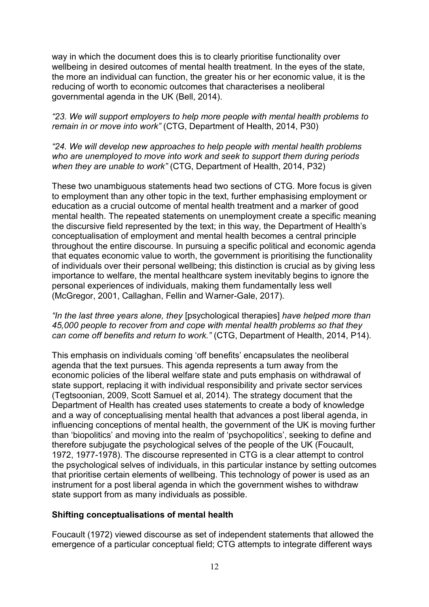way in which the document does this is to clearly prioritise functionality over wellbeing in desired outcomes of mental health treatment. In the eyes of the state, the more an individual can function, the greater his or her economic value, it is the reducing of worth to economic outcomes that characterises a neoliberal governmental agenda in the UK (Bell, 2014).

# *"23. We will support employers to help more people with mental health problems to remain in or move into work"* (CTG, Department of Health, 2014, P30)

## *"24. We will develop new approaches to help people with mental health problems who are unemployed to move into work and seek to support them during periods when they are unable to work"* (CTG, Department of Health, 2014, P32)

These two unambiguous statements head two sections of CTG. More focus is given to employment than any other topic in the text, further emphasising employment or education as a crucial outcome of mental health treatment and a marker of good mental health. The repeated statements on unemployment create a specific meaning the discursive field represented by the text; in this way, the Department of Health's conceptualisation of employment and mental health becomes a central principle throughout the entire discourse. In pursuing a specific political and economic agenda that equates economic value to worth, the government is prioritising the functionality of individuals over their personal wellbeing; this distinction is crucial as by giving less importance to welfare, the mental healthcare system inevitably begins to ignore the personal experiences of individuals, making them fundamentally less well (McGregor, 2001, Callaghan, Fellin and Warner-Gale, 2017).

## *"In the last three years alone, they* [psychological therapies] *have helped more than 45,000 people to recover from and cope with mental health problems so that they can come off benefits and return to work."* (CTG, Department of Health, 2014, P14).

This emphasis on individuals coming 'off benefits' encapsulates the neoliberal agenda that the text pursues. This agenda represents a turn away from the economic policies of the liberal welfare state and puts emphasis on withdrawal of state support, replacing it with individual responsibility and private sector services (Tegtsoonian, 2009, Scott Samuel et al, 2014). The strategy document that the Department of Health has created uses statements to create a body of knowledge and a way of conceptualising mental health that advances a post liberal agenda, in influencing conceptions of mental health, the government of the UK is moving further than 'biopolitics' and moving into the realm of 'psychopolitics', seeking to define and therefore subjugate the psychological selves of the people of the UK (Foucault, 1972, 1977-1978). The discourse represented in CTG is a clear attempt to control the psychological selves of individuals, in this particular instance by setting outcomes that prioritise certain elements of wellbeing. This technology of power is used as an instrument for a post liberal agenda in which the government wishes to withdraw state support from as many individuals as possible.

# **Shifting conceptualisations of mental health**

Foucault (1972) viewed discourse as set of independent statements that allowed the emergence of a particular conceptual field; CTG attempts to integrate different ways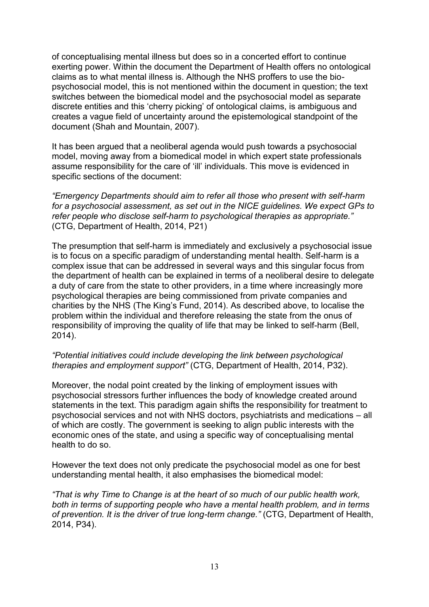of conceptualising mental illness but does so in a concerted effort to continue exerting power. Within the document the Department of Health offers no ontological claims as to what mental illness is. Although the NHS proffers to use the biopsychosocial model, this is not mentioned within the document in question; the text switches between the biomedical model and the psychosocial model as separate discrete entities and this 'cherry picking' of ontological claims, is ambiguous and creates a vague field of uncertainty around the epistemological standpoint of the document (Shah and Mountain, 2007).

It has been argued that a neoliberal agenda would push towards a psychosocial model, moving away from a biomedical model in which expert state professionals assume responsibility for the care of 'ill' individuals. This move is evidenced in specific sections of the document:

*"Emergency Departments should aim to refer all those who present with self-harm for a psychosocial assessment, as set out in the NICE guidelines. We expect GPs to refer people who disclose self-harm to psychological therapies as appropriate."* (CTG, Department of Health, 2014, P21)

The presumption that self-harm is immediately and exclusively a psychosocial issue is to focus on a specific paradigm of understanding mental health. Self-harm is a complex issue that can be addressed in several ways and this singular focus from the department of health can be explained in terms of a neoliberal desire to delegate a duty of care from the state to other providers, in a time where increasingly more psychological therapies are being commissioned from private companies and charities by the NHS (The King's Fund, 2014). As described above, to localise the problem within the individual and therefore releasing the state from the onus of responsibility of improving the quality of life that may be linked to self-harm (Bell, 2014).

#### *"Potential initiatives could include developing the link between psychological therapies and employment support"* (CTG, Department of Health, 2014, P32).

Moreover, the nodal point created by the linking of employment issues with psychosocial stressors further influences the body of knowledge created around statements in the text. This paradigm again shifts the responsibility for treatment to psychosocial services and not with NHS doctors, psychiatrists and medications – all of which are costly. The government is seeking to align public interests with the economic ones of the state, and using a specific way of conceptualising mental health to do so.

However the text does not only predicate the psychosocial model as one for best understanding mental health, it also emphasises the biomedical model:

*"That is why Time to Change is at the heart of so much of our public health work, both in terms of supporting people who have a mental health problem, and in terms of prevention. It is the driver of true long-term change."* (CTG, Department of Health, 2014, P34).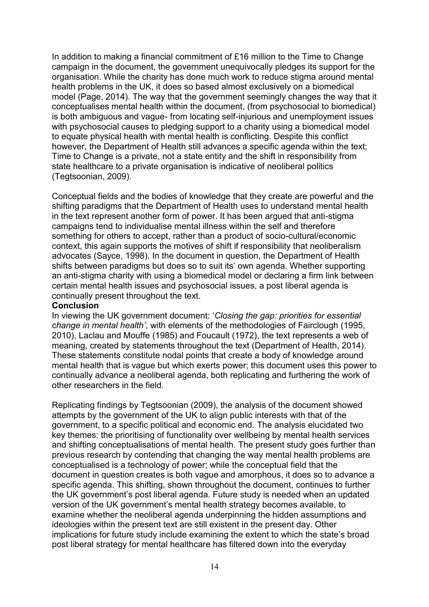In addition to making a financial commitment of £16 million to the Time to Change campaign in the document, the government unequivocally pledges its support for the organisation. While the charity has done much work to reduce stigma around mental health problems in the UK, it does so based almost exclusively on a biomedical model (Page, 2014). The way that the government seemingly changes the way that it conceptualises mental health within the document, (from psychosocial to biomedical) is both ambiguous and vague- from locating self-injurious and unemployment issues with psychosocial causes to pledging support to a charity using a biomedical model to equate physical health with mental health is conflicting. Despite this conflict however, the Department of Health still advances a specific agenda within the text; Time to Change is a private, not a state entity and the shift in responsibility from state healthcare to a private organisation is indicative of neoliberal politics (Tegtsoonian, 2009).

Conceptual fields and the bodies of knowledge that they create are powerful and the shifting paradigms that the Department of Health uses to understand mental health in the text represent another form of power. It has been argued that anti-stigma campaigns tend to individualise mental illness within the self and therefore something for others to accept, rather than a product of socio-cultural/economic context, this again supports the motives of shift if responsibility that neoliberalism advocates (Sayce, 1998). In the document in question, the Department of Health shifts between paradigms but does so to suit its' own agenda. Whether supporting an anti-stigma charity with using a biomedical model or declaring a firm link between certain mental health issues and psychosocial issues, a post liberal agenda is continually present throughout the text.

#### **Conclusion**

In viewing the UK government document: '*Closing the gap: priorities for essential change in mental health'*, with elements of the methodologies of Fairclough (1995, 2010), Laclau and Mouffe (1985) and Foucault (1972), the text represents a web of meaning, created by statements throughout the text (Department of Health, 2014). These statements constitute nodal points that create a body of knowledge around mental health that is vague but which exerts power; this document uses this power to continually advance a neoliberal agenda, both replicating and furthering the work of other researchers in the field.

Replicating findings by Tegtsoonian (2009), the analysis of the document showed attempts by the government of the UK to align public interests with that of the government, to a specific political and economic end. The analysis elucidated two key themes: the prioritising of functionality over wellbeing by mental health services and shifting conceptualisations of mental health. The present study goes further than previous research by contending that changing the way mental health problems are conceptualised is a technology of power; while the conceptual field that the document in question creates is both vague and amorphous, it does so to advance a specific agenda. This shifting, shown throughout the document, continues to further the UK government's post liberal agenda. Future study is needed when an updated version of the UK government's mental health strategy becomes available, to examine whether the neoliberal agenda underpinning the hidden assumptions and ideologies within the present text are still existent in the present day. Other implications for future study include examining the extent to which the state's broad post liberal strategy for mental healthcare has filtered down into the everyday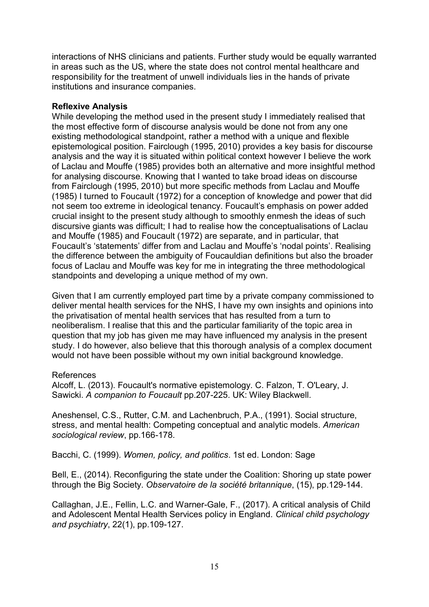interactions of NHS clinicians and patients. Further study would be equally warranted in areas such as the US, where the state does not control mental healthcare and responsibility for the treatment of unwell individuals lies in the hands of private institutions and insurance companies.

## **Reflexive Analysis**

While developing the method used in the present study I immediately realised that the most effective form of discourse analysis would be done not from any one existing methodological standpoint, rather a method with a unique and flexible epistemological position. Fairclough (1995, 2010) provides a key basis for discourse analysis and the way it is situated within political context however I believe the work of Laclau and Mouffe (1985) provides both an alternative and more insightful method for analysing discourse. Knowing that I wanted to take broad ideas on discourse from Fairclough (1995, 2010) but more specific methods from Laclau and Mouffe (1985) I turned to Foucault (1972) for a conception of knowledge and power that did not seem too extreme in ideological tenancy. Foucault's emphasis on power added crucial insight to the present study although to smoothly enmesh the ideas of such discursive giants was difficult; I had to realise how the conceptualisations of Laclau and Mouffe (1985) and Foucault (1972) are separate, and in particular, that Foucault's 'statements' differ from and Laclau and Mouffe's 'nodal points'. Realising the difference between the ambiguity of Foucauldian definitions but also the broader focus of Laclau and Mouffe was key for me in integrating the three methodological standpoints and developing a unique method of my own.

Given that I am currently employed part time by a private company commissioned to deliver mental health services for the NHS, I have my own insights and opinions into the privatisation of mental health services that has resulted from a turn to neoliberalism. I realise that this and the particular familiarity of the topic area in question that my job has given me may have influenced my analysis in the present study. I do however, also believe that this thorough analysis of a complex document would not have been possible without my own initial background knowledge.

## References

Alcoff, L. (2013). Foucault's normative epistemology. C. Falzon, T. O'Leary, J. Sawicki. *A companion to Foucault* pp.207-225. UK: Wiley Blackwell.

Aneshensel, C.S., Rutter, C.M. and Lachenbruch, P.A., (1991). Social structure, stress, and mental health: Competing conceptual and analytic models. *American sociological review*, pp.166-178.

Bacchi, C. (1999). *Women, policy, and politics*. 1st ed. London: Sage

Bell, E., (2014). Reconfiguring the state under the Coalition: Shoring up state power through the Big Society. *Observatoire de la société britannique*, (15), pp.129-144.

Callaghan, J.E., Fellin, L.C. and Warner-Gale, F., (2017). A critical analysis of Child and Adolescent Mental Health Services policy in England*. Clinical child psychology and psychiatry*, 22(1), pp.109-127.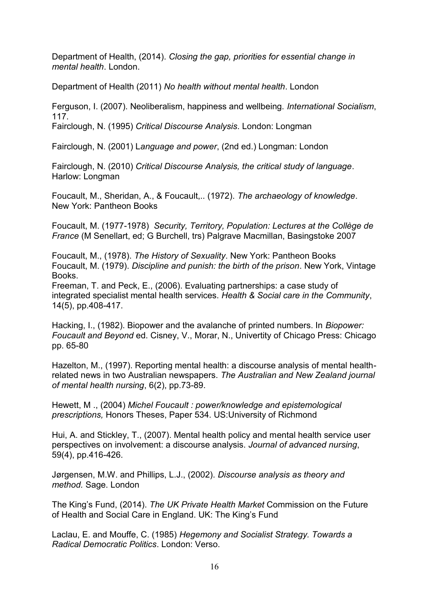Department of Health, (2014). *Closing the gap, priorities for essential change in mental health*. London.

Department of Health (2011) *No health without mental health*. London

Ferguson, I. (2007). Neoliberalism, happiness and wellbeing. *International Socialism*, 117.

Fairclough, N. (1995) *Critical Discourse Analysis*. London: Longman

Fairclough, N. (2001) L*anguage and power*, (2nd ed.) Longman: London

Fairclough, N. (2010) *Critical Discourse Analysis, the critical study of language*. Harlow: Longman

Foucault, M., Sheridan, A., & Foucault,.. (1972). *The archaeology of knowledge*. New York: Pantheon Books

Foucault, M. (1977-1978) *Security, Territory, Population: Lectures at the Collège de France* (M Senellart, ed; G Burchell, trs) Palgrave Macmillan, Basingstoke 2007

Foucault, M., (1978). *The History of Sexuality*. New York: Pantheon Books Foucault, M. (1979). *Discipline and punish: the birth of the prison*. New York, Vintage **Books** 

Freeman, T. and Peck, E., (2006). Evaluating partnerships: a case study of integrated specialist mental health services. *Health & Social care in the Community*, 14(5), pp.408-417.

Hacking, I., (1982). Biopower and the avalanche of printed numbers. In *Biopower: Foucault and Beyond* ed. Cisney, V., Morar, N., Univertity of Chicago Press: Chicago pp. 65-80

Hazelton, M., (1997). Reporting mental health: a discourse analysis of mental healthrelated news in two Australian newspapers. *The Australian and New Zealand journal of mental health nursing*, 6(2), pp.73-89.

Hewett, M ., (2004) *Michel Foucault : power/knowledge and epistemological prescriptions,* Honors Theses, Paper 534. US:University of Richmond

Hui, A. and Stickley, T., (2007). Mental health policy and mental health service user perspectives on involvement: a discourse analysis. *Journal of advanced nursing*, 59(4), pp.416-426.

Jørgensen, M.W. and Phillips, L.J., (2002). *Discourse analysis as theory and method.* Sage. London

The King's Fund, (2014). *The UK Private Health Market* Commission on the Future of Health and Social Care in England. UK: The King's Fund

Laclau, E. and Mouffe, C. (1985) *Hegemony and Socialist Strategy. Towards a Radical Democratic Politics*. London: Verso.